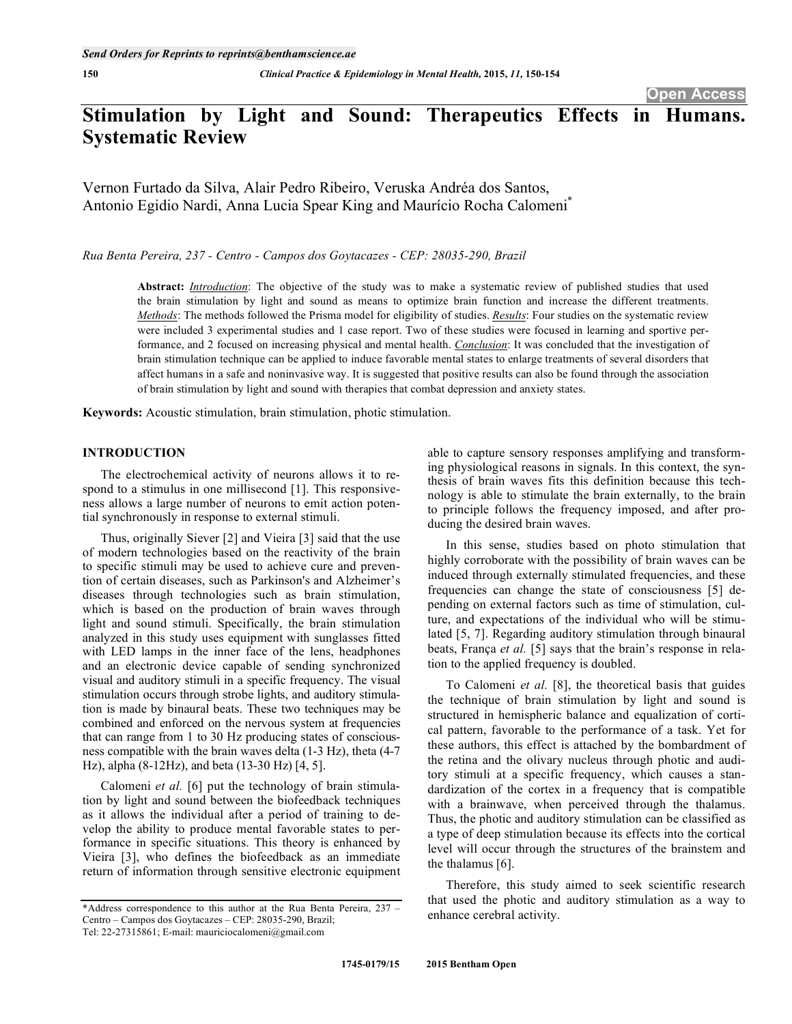# **Stimulation by Light and Sound: Therapeutics Effects in Humans. Systematic Review**

Vernon Furtado da Silva, Alair Pedro Ribeiro, Veruska Andréa dos Santos, Antonio Egidio Nardi, Anna Lucia Spear King and Maurício Rocha Calomeni\*

*Rua Benta Pereira, 237 - Centro - Campos dos Goytacazes - CEP: 28035-290, Brazil* 

**Abstract:** *Introduction*: The objective of the study was to make a systematic review of published studies that used the brain stimulation by light and sound as means to optimize brain function and increase the different treatments. *Methods*: The methods followed the Prisma model for eligibility of studies. *Results*: Four studies on the systematic review were included 3 experimental studies and 1 case report. Two of these studies were focused in learning and sportive performance, and 2 focused on increasing physical and mental health. *Conclusion*: It was concluded that the investigation of brain stimulation technique can be applied to induce favorable mental states to enlarge treatments of several disorders that affect humans in a safe and noninvasive way. It is suggested that positive results can also be found through the association of brain stimulation by light and sound with therapies that combat depression and anxiety states.

**Keywords:** Acoustic stimulation, brain stimulation, photic stimulation.

# **INTRODUCTION**

The electrochemical activity of neurons allows it to respond to a stimulus in one millisecond [1]. This responsiveness allows a large number of neurons to emit action potential synchronously in response to external stimuli.

Thus, originally Siever [2] and Vieira [3] said that the use of modern technologies based on the reactivity of the brain to specific stimuli may be used to achieve cure and prevention of certain diseases, such as Parkinson's and Alzheimer's diseases through technologies such as brain stimulation, which is based on the production of brain waves through light and sound stimuli. Specifically, the brain stimulation analyzed in this study uses equipment with sunglasses fitted with LED lamps in the inner face of the lens, headphones and an electronic device capable of sending synchronized visual and auditory stimuli in a specific frequency. The visual stimulation occurs through strobe lights, and auditory stimulation is made by binaural beats. These two techniques may be combined and enforced on the nervous system at frequencies that can range from 1 to 30 Hz producing states of consciousness compatible with the brain waves delta (1-3 Hz), theta (4-7 Hz), alpha (8-12Hz), and beta (13-30 Hz) [4, 5].

Calomeni *et al.* [6] put the technology of brain stimulation by light and sound between the biofeedback techniques as it allows the individual after a period of training to develop the ability to produce mental favorable states to performance in specific situations. This theory is enhanced by Vieira [3], who defines the biofeedback as an immediate return of information through sensitive electronic equipment able to capture sensory responses amplifying and transforming physiological reasons in signals. In this context, the synthesis of brain waves fits this definition because this technology is able to stimulate the brain externally, to the brain to principle follows the frequency imposed, and after producing the desired brain waves.

In this sense, studies based on photo stimulation that highly corroborate with the possibility of brain waves can be induced through externally stimulated frequencies, and these frequencies can change the state of consciousness [5] depending on external factors such as time of stimulation, culture, and expectations of the individual who will be stimulated [5, 7]. Regarding auditory stimulation through binaural beats, França *et al.* [5] says that the brain's response in relation to the applied frequency is doubled.

To Calomeni *et al.* [8], the theoretical basis that guides the technique of brain stimulation by light and sound is structured in hemispheric balance and equalization of cortical pattern, favorable to the performance of a task. Yet for these authors, this effect is attached by the bombardment of the retina and the olivary nucleus through photic and auditory stimuli at a specific frequency, which causes a standardization of the cortex in a frequency that is compatible with a brainwave, when perceived through the thalamus. Thus, the photic and auditory stimulation can be classified as a type of deep stimulation because its effects into the cortical level will occur through the structures of the brainstem and the thalamus [6].

Therefore, this study aimed to seek scientific research that used the photic and auditory stimulation as a way to enhance cerebral activity.

<sup>\*</sup>Address correspondence to this author at the Rua Benta Pereira, 237 – Centro – Campos dos Goytacazes – CEP: 28035-290, Brazil; Tel: 22-27315861; E-mail: mauriciocalomeni@gmail.com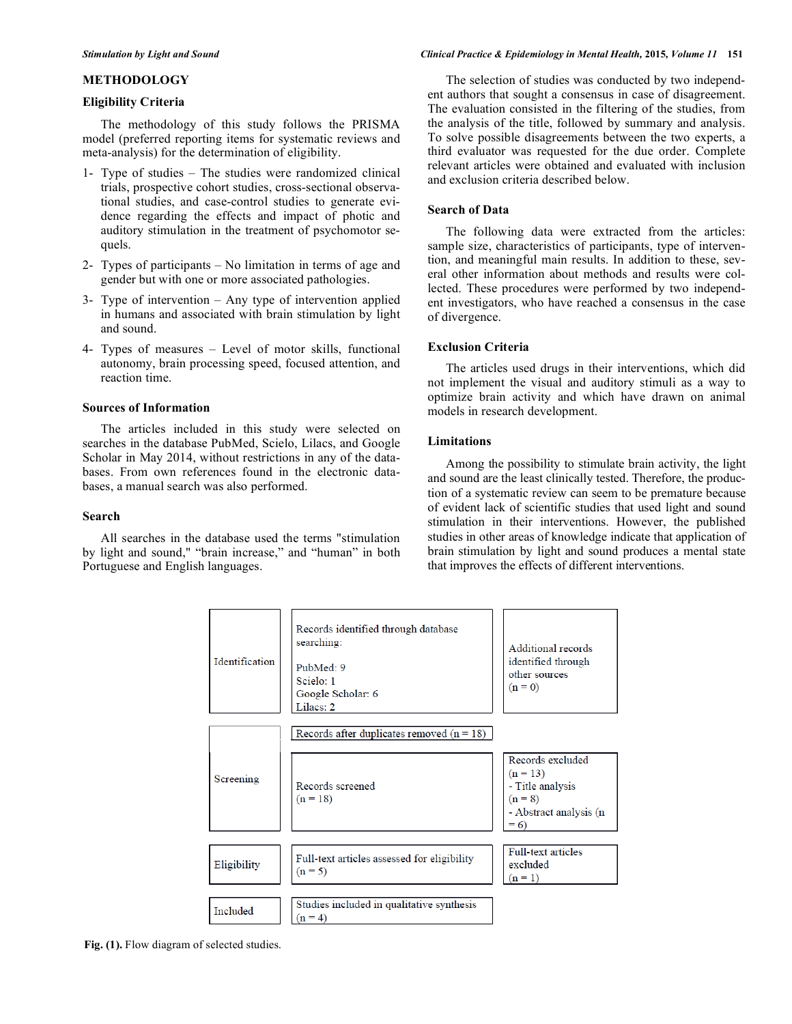# **METHODOLOGY**

# **Eligibility Criteria**

The methodology of this study follows the PRISMA model (preferred reporting items for systematic reviews and meta-analysis) for the determination of eligibility.

- 1- Type of studies The studies were randomized clinical trials, prospective cohort studies, cross-sectional observational studies, and case-control studies to generate evidence regarding the effects and impact of photic and auditory stimulation in the treatment of psychomotor sequels.
- 2- Types of participants No limitation in terms of age and gender but with one or more associated pathologies.
- 3- Type of intervention Any type of intervention applied in humans and associated with brain stimulation by light and sound.
- 4- Types of measures Level of motor skills, functional autonomy, brain processing speed, focused attention, and reaction time.

# **Sources of Information**

The articles included in this study were selected on searches in the database PubMed, Scielo, Lilacs, and Google Scholar in May 2014, without restrictions in any of the databases. From own references found in the electronic databases, a manual search was also performed.

# **Search**

All searches in the database used the terms "stimulation by light and sound," "brain increase," and "human" in both Portuguese and English languages.

# *Stimulation by Light and Sound Clinical Practice & Epidemiology in Mental Health,* **2015***, Volume 11* **151**

The selection of studies was conducted by two independent authors that sought a consensus in case of disagreement. The evaluation consisted in the filtering of the studies, from the analysis of the title, followed by summary and analysis. To solve possible disagreements between the two experts, a third evaluator was requested for the due order. Complete relevant articles were obtained and evaluated with inclusion and exclusion criteria described below.

# **Search of Data**

The following data were extracted from the articles: sample size, characteristics of participants, type of intervention, and meaningful main results. In addition to these, several other information about methods and results were collected. These procedures were performed by two independent investigators, who have reached a consensus in the case of divergence.

# **Exclusion Criteria**

The articles used drugs in their interventions, which did not implement the visual and auditory stimuli as a way to optimize brain activity and which have drawn on animal models in research development.

# **Limitations**

Among the possibility to stimulate brain activity, the light and sound are the least clinically tested. Therefore, the production of a systematic review can seem to be premature because of evident lack of scientific studies that used light and sound stimulation in their interventions. However, the published studies in other areas of knowledge indicate that application of brain stimulation by light and sound produces a mental state that improves the effects of different interventions.



**Fig. (1).** Flow diagram of selected studies.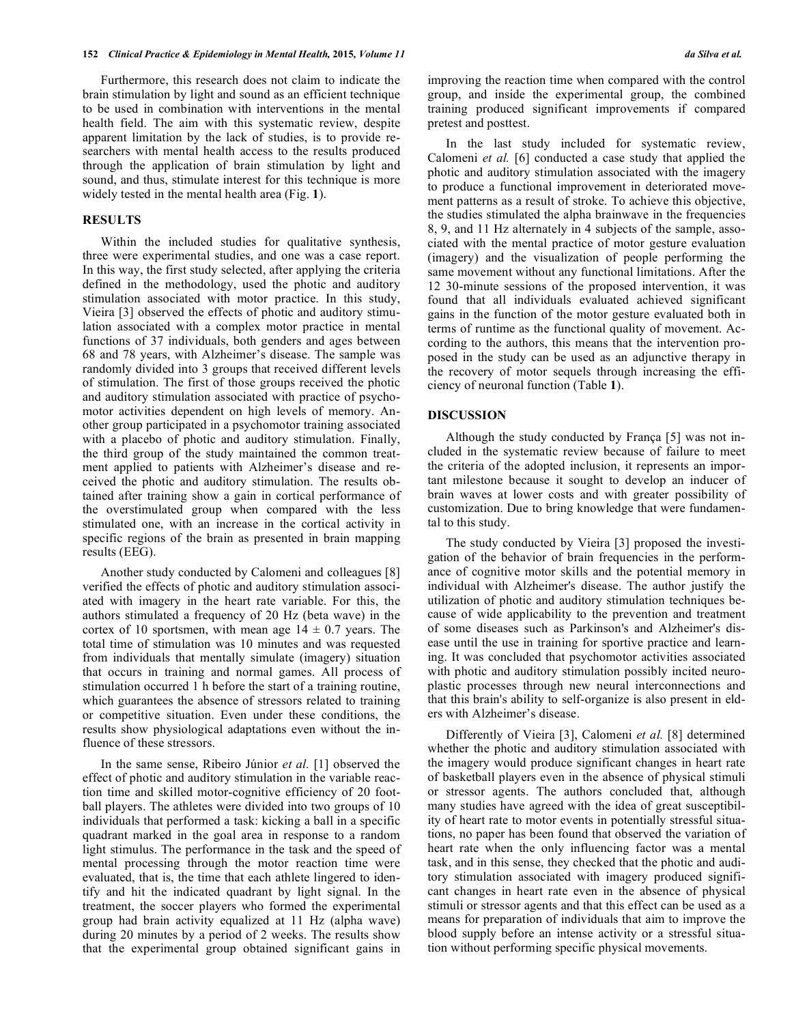Furthermore, this research does not claim to indicate the brain stimulation by light and sound as an efficient technique to be used in combination with interventions in the mental health field. The aim with this systematic review, despite apparent limitation by the lack of studies, is to provide researchers with mental health access to the results produced through the application of brain stimulation by light and sound, and thus, stimulate interest for this technique is more widely tested in the mental health area (Fig. **1**).

# **RESULTS**

Within the included studies for qualitative synthesis, three were experimental studies, and one was a case report. In this way, the first study selected, after applying the criteria defined in the methodology, used the photic and auditory stimulation associated with motor practice. In this study, Vieira [3] observed the effects of photic and auditory stimulation associated with a complex motor practice in mental functions of 37 individuals, both genders and ages between 68 and 78 years, with Alzheimer's disease. The sample was randomly divided into 3 groups that received different levels of stimulation. The first of those groups received the photic and auditory stimulation associated with practice of psychomotor activities dependent on high levels of memory. Another group participated in a psychomotor training associated with a placebo of photic and auditory stimulation. Finally, the third group of the study maintained the common treatment applied to patients with Alzheimer's disease and received the photic and auditory stimulation. The results obtained after training show a gain in cortical performance of the overstimulated group when compared with the less stimulated one, with an increase in the cortical activity in specific regions of the brain as presented in brain mapping results (EEG).

Another study conducted by Calomeni and colleagues [8] verified the effects of photic and auditory stimulation associated with imagery in the heart rate variable. For this, the authors stimulated a frequency of 20 Hz (beta wave) in the cortex of 10 sportsmen, with mean age  $14 \pm 0.7$  years. The total time of stimulation was 10 minutes and was requested from individuals that mentally simulate (imagery) situation that occurs in training and normal games. All process of stimulation occurred 1 h before the start of a training routine, which guarantees the absence of stressors related to training or competitive situation. Even under these conditions, the results show physiological adaptations even without the influence of these stressors.

In the same sense, Ribeiro Júnior *et al.* [1] observed the effect of photic and auditory stimulation in the variable reaction time and skilled motor-cognitive efficiency of 20 football players. The athletes were divided into two groups of 10 individuals that performed a task: kicking a ball in a specific quadrant marked in the goal area in response to a random light stimulus. The performance in the task and the speed of mental processing through the motor reaction time were evaluated, that is, the time that each athlete lingered to identify and hit the indicated quadrant by light signal. In the treatment, the soccer players who formed the experimental group had brain activity equalized at 11 Hz (alpha wave) during 20 minutes by a period of 2 weeks. The results show that the experimental group obtained significant gains in

improving the reaction time when compared with the control group, and inside the experimental group, the combined training produced significant improvements if compared pretest and posttest.

In the last study included for systematic review, Calomeni *et al.* [6] conducted a case study that applied the photic and auditory stimulation associated with the imagery to produce a functional improvement in deteriorated movement patterns as a result of stroke. To achieve this objective, the studies stimulated the alpha brainwave in the frequencies 8, 9, and 11 Hz alternately in 4 subjects of the sample, associated with the mental practice of motor gesture evaluation (imagery) and the visualization of people performing the same movement without any functional limitations. After the 12 30-minute sessions of the proposed intervention, it was found that all individuals evaluated achieved significant gains in the function of the motor gesture evaluated both in terms of runtime as the functional quality of movement. According to the authors, this means that the intervention proposed in the study can be used as an adjunctive therapy in the recovery of motor sequels through increasing the efficiency of neuronal function (Table **1**).

#### **DISCUSSION**

Although the study conducted by França [5] was not included in the systematic review because of failure to meet the criteria of the adopted inclusion, it represents an important milestone because it sought to develop an inducer of brain waves at lower costs and with greater possibility of customization. Due to bring knowledge that were fundamental to this study.

The study conducted by Vieira [3] proposed the investigation of the behavior of brain frequencies in the performance of cognitive motor skills and the potential memory in individual with Alzheimer's disease. The author justify the utilization of photic and auditory stimulation techniques because of wide applicability to the prevention and treatment of some diseases such as Parkinson's and Alzheimer's disease until the use in training for sportive practice and learning. It was concluded that psychomotor activities associated with photic and auditory stimulation possibly incited neuroplastic processes through new neural interconnections and that this brain's ability to self-organize is also present in elders with Alzheimer's disease.

Differently of Vieira [3], Calomeni *et al.* [8] determined whether the photic and auditory stimulation associated with the imagery would produce significant changes in heart rate of basketball players even in the absence of physical stimuli or stressor agents. The authors concluded that, although many studies have agreed with the idea of great susceptibility of heart rate to motor events in potentially stressful situations, no paper has been found that observed the variation of heart rate when the only influencing factor was a mental task, and in this sense, they checked that the photic and auditory stimulation associated with imagery produced significant changes in heart rate even in the absence of physical stimuli or stressor agents and that this effect can be used as a means for preparation of individuals that aim to improve the blood supply before an intense activity or a stressful situation without performing specific physical movements.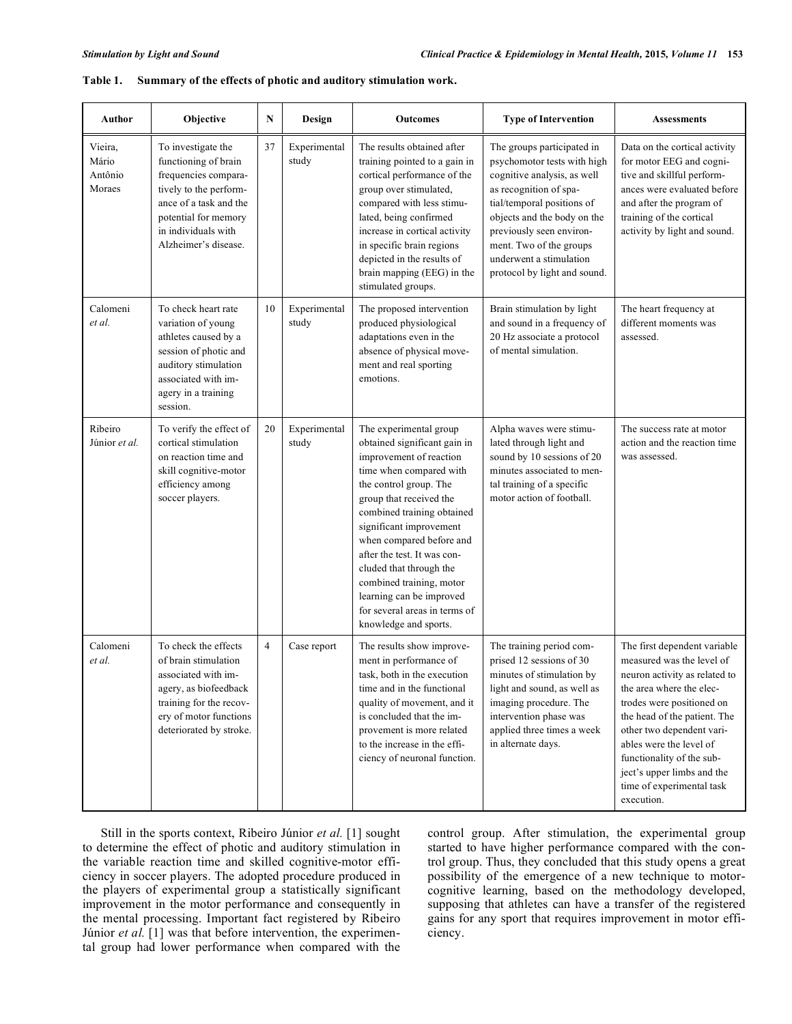| Table 1. | Summary of the effects of photic and auditory stimulation work. |  |  |
|----------|-----------------------------------------------------------------|--|--|
|----------|-----------------------------------------------------------------|--|--|

| Author                                | Objective                                                                                                                                                                                     | ${\bf N}$      | Design                | <b>Outcomes</b>                                                                                                                                                                                                                                                                                                                                                                                                                    | <b>Type of Intervention</b>                                                                                                                                                                                                                                                                       | <b>Assessments</b>                                                                                                                                                                                                                                                                                                                                |
|---------------------------------------|-----------------------------------------------------------------------------------------------------------------------------------------------------------------------------------------------|----------------|-----------------------|------------------------------------------------------------------------------------------------------------------------------------------------------------------------------------------------------------------------------------------------------------------------------------------------------------------------------------------------------------------------------------------------------------------------------------|---------------------------------------------------------------------------------------------------------------------------------------------------------------------------------------------------------------------------------------------------------------------------------------------------|---------------------------------------------------------------------------------------------------------------------------------------------------------------------------------------------------------------------------------------------------------------------------------------------------------------------------------------------------|
| Vieira,<br>Mário<br>Antônio<br>Moraes | To investigate the<br>functioning of brain<br>frequencies compara-<br>tively to the perform-<br>ance of a task and the<br>potential for memory<br>in individuals with<br>Alzheimer's disease. | 37             | Experimental<br>study | The results obtained after<br>training pointed to a gain in<br>cortical performance of the<br>group over stimulated,<br>compared with less stimu-<br>lated, being confirmed<br>increase in cortical activity<br>in specific brain regions<br>depicted in the results of<br>brain mapping (EEG) in the<br>stimulated groups.                                                                                                        | The groups participated in<br>psychomotor tests with high<br>cognitive analysis, as well<br>as recognition of spa-<br>tial/temporal positions of<br>objects and the body on the<br>previously seen environ-<br>ment. Two of the groups<br>underwent a stimulation<br>protocol by light and sound. | Data on the cortical activity<br>for motor EEG and cogni-<br>tive and skillful perform-<br>ances were evaluated before<br>and after the program of<br>training of the cortical<br>activity by light and sound.                                                                                                                                    |
| Calomeni<br>et al.                    | To check heart rate<br>variation of young<br>athletes caused by a<br>session of photic and<br>auditory stimulation<br>associated with im-<br>agery in a training<br>session.                  | 10             | Experimental<br>study | The proposed intervention<br>produced physiological<br>adaptations even in the<br>absence of physical move-<br>ment and real sporting<br>emotions.                                                                                                                                                                                                                                                                                 | Brain stimulation by light<br>and sound in a frequency of<br>20 Hz associate a protocol<br>of mental simulation.                                                                                                                                                                                  | The heart frequency at<br>different moments was<br>assessed.                                                                                                                                                                                                                                                                                      |
| Ribeiro<br>Júnior et al.              | To verify the effect of<br>cortical stimulation<br>on reaction time and<br>skill cognitive-motor<br>efficiency among<br>soccer players.                                                       | 20             | Experimental<br>study | The experimental group<br>obtained significant gain in<br>improvement of reaction<br>time when compared with<br>the control group. The<br>group that received the<br>combined training obtained<br>significant improvement<br>when compared before and<br>after the test. It was con-<br>cluded that through the<br>combined training, motor<br>learning can be improved<br>for several areas in terms of<br>knowledge and sports. | Alpha waves were stimu-<br>lated through light and<br>sound by 10 sessions of 20<br>minutes associated to men-<br>tal training of a specific<br>motor action of football.                                                                                                                         | The success rate at motor<br>action and the reaction time<br>was assessed.                                                                                                                                                                                                                                                                        |
| Calomeni<br>et al.                    | To check the effects<br>of brain stimulation<br>associated with im-<br>agery, as biofeedback<br>training for the recov-<br>ery of motor functions<br>deteriorated by stroke.                  | $\overline{4}$ | Case report           | The results show improve-<br>ment in performance of<br>task, both in the execution<br>time and in the functional<br>quality of movement, and it<br>is concluded that the im-<br>provement is more related<br>to the increase in the effi-<br>ciency of neuronal function.                                                                                                                                                          | The training period com-<br>prised 12 sessions of 30<br>minutes of stimulation by<br>light and sound, as well as<br>imaging procedure. The<br>intervention phase was<br>applied three times a week<br>in alternate days.                                                                          | The first dependent variable<br>measured was the level of<br>neuron activity as related to<br>the area where the elec-<br>trodes were positioned on<br>the head of the patient. The<br>other two dependent vari-<br>ables were the level of<br>functionality of the sub-<br>ject's upper limbs and the<br>time of experimental task<br>execution. |

Still in the sports context, Ribeiro Júnior *et al.* [1] sought to determine the effect of photic and auditory stimulation in the variable reaction time and skilled cognitive-motor efficiency in soccer players. The adopted procedure produced in the players of experimental group a statistically significant improvement in the motor performance and consequently in the mental processing. Important fact registered by Ribeiro Júnior *et al.* [1] was that before intervention, the experimental group had lower performance when compared with the control group. After stimulation, the experimental group started to have higher performance compared with the control group. Thus, they concluded that this study opens a great possibility of the emergence of a new technique to motorcognitive learning, based on the methodology developed, supposing that athletes can have a transfer of the registered gains for any sport that requires improvement in motor efficiency.